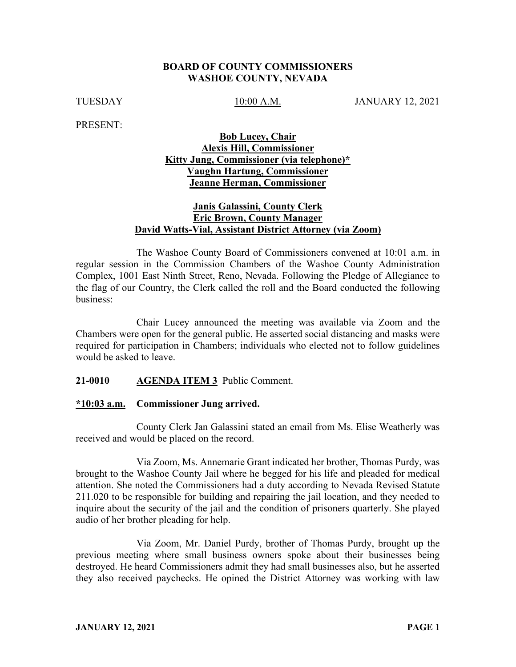### **BOARD OF COUNTY COMMISSIONERS WASHOE COUNTY, NEVADA**

TUESDAY 10:00 A.M. JANUARY 12, 2021

PRESENT:

## **Bob Lucey, Chair Alexis Hill, Commissioner Kitty Jung, Commissioner (via telephone)\* Vaughn Hartung, Commissioner Jeanne Herman, Commissioner**

## **Janis Galassini, County Clerk Eric Brown, County Manager David Watts-Vial, Assistant District Attorney (via Zoom)**

The Washoe County Board of Commissioners convened at 10:01 a.m. in regular session in the Commission Chambers of the Washoe County Administration Complex, 1001 East Ninth Street, Reno, Nevada. Following the Pledge of Allegiance to the flag of our Country, the Clerk called the roll and the Board conducted the following business:

Chair Lucey announced the meeting was available via Zoom and the Chambers were open for the general public. He asserted social distancing and masks were required for participation in Chambers; individuals who elected not to follow guidelines would be asked to leave.

### **21-0010 AGENDA ITEM 3** Public Comment.

#### **\*10:03 a.m. Commissioner Jung arrived.**

County Clerk Jan Galassini stated an email from Ms. Elise Weatherly was received and would be placed on the record.

Via Zoom, Ms. Annemarie Grant indicated her brother, Thomas Purdy, was brought to the Washoe County Jail where he begged for his life and pleaded for medical attention. She noted the Commissioners had a duty according to Nevada Revised Statute 211.020 to be responsible for building and repairing the jail location, and they needed to inquire about the security of the jail and the condition of prisoners quarterly. She played audio of her brother pleading for help.

Via Zoom, Mr. Daniel Purdy, brother of Thomas Purdy, brought up the previous meeting where small business owners spoke about their businesses being destroyed. He heard Commissioners admit they had small businesses also, but he asserted they also received paychecks. He opined the District Attorney was working with law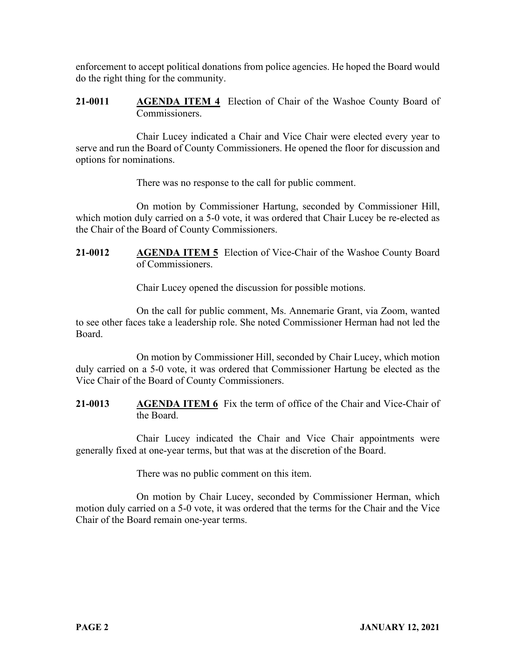enforcement to accept political donations from police agencies. He hoped the Board would do the right thing for the community.

**21-0011 AGENDA ITEM 4** Election of Chair of the Washoe County Board of Commissioners.

Chair Lucey indicated a Chair and Vice Chair were elected every year to serve and run the Board of County Commissioners. He opened the floor for discussion and options for nominations.

There was no response to the call for public comment.

On motion by Commissioner Hartung, seconded by Commissioner Hill, which motion duly carried on a 5-0 vote, it was ordered that Chair Lucey be re-elected as the Chair of the Board of County Commissioners.

**21-0012 AGENDA ITEM 5** Election of Vice-Chair of the Washoe County Board of Commissioners.

Chair Lucey opened the discussion for possible motions.

On the call for public comment, Ms. Annemarie Grant, via Zoom, wanted to see other faces take a leadership role. She noted Commissioner Herman had not led the Board.

On motion by Commissioner Hill, seconded by Chair Lucey, which motion duly carried on a 5-0 vote, it was ordered that Commissioner Hartung be elected as the Vice Chair of the Board of County Commissioners.

**21-0013 AGENDA ITEM 6** Fix the term of office of the Chair and Vice-Chair of the Board.

Chair Lucey indicated the Chair and Vice Chair appointments were generally fixed at one-year terms, but that was at the discretion of the Board.

There was no public comment on this item.

On motion by Chair Lucey, seconded by Commissioner Herman, which motion duly carried on a 5-0 vote, it was ordered that the terms for the Chair and the Vice Chair of the Board remain one-year terms.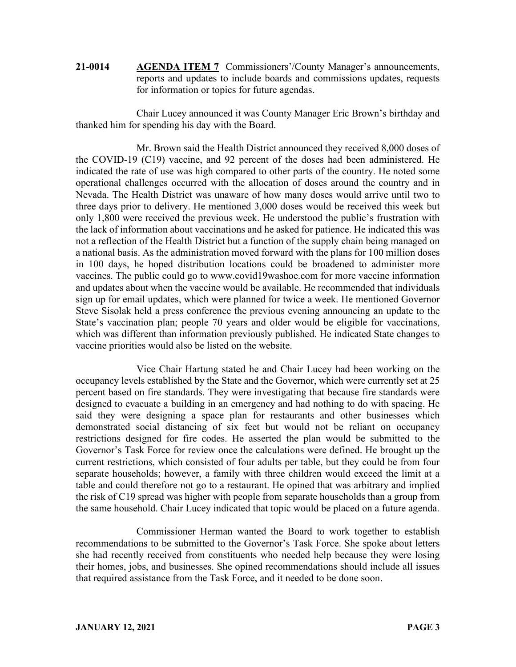**21-0014 AGENDA ITEM 7** Commissioners'/County Manager's announcements, reports and updates to include boards and commissions updates, requests for information or topics for future agendas.

Chair Lucey announced it was County Manager Eric Brown's birthday and thanked him for spending his day with the Board.

Mr. Brown said the Health District announced they received 8,000 doses of the COVID-19 (C19) vaccine, and 92 percent of the doses had been administered. He indicated the rate of use was high compared to other parts of the country. He noted some operational challenges occurred with the allocation of doses around the country and in Nevada. The Health District was unaware of how many doses would arrive until two to three days prior to delivery. He mentioned 3,000 doses would be received this week but only 1,800 were received the previous week. He understood the public's frustration with the lack of information about vaccinations and he asked for patience. He indicated this was not a reflection of the Health District but a function of the supply chain being managed on a national basis. As the administration moved forward with the plans for 100 million doses in 100 days, he hoped distribution locations could be broadened to administer more vaccines. The public could go to www.covid19washoe.com for more vaccine information and updates about when the vaccine would be available. He recommended that individuals sign up for email updates, which were planned for twice a week. He mentioned Governor Steve Sisolak held a press conference the previous evening announcing an update to the State's vaccination plan; people 70 years and older would be eligible for vaccinations, which was different than information previously published. He indicated State changes to vaccine priorities would also be listed on the website.

Vice Chair Hartung stated he and Chair Lucey had been working on the occupancy levels established by the State and the Governor, which were currently set at 25 percent based on fire standards. They were investigating that because fire standards were designed to evacuate a building in an emergency and had nothing to do with spacing. He said they were designing a space plan for restaurants and other businesses which demonstrated social distancing of six feet but would not be reliant on occupancy restrictions designed for fire codes. He asserted the plan would be submitted to the Governor's Task Force for review once the calculations were defined. He brought up the current restrictions, which consisted of four adults per table, but they could be from four separate households; however, a family with three children would exceed the limit at a table and could therefore not go to a restaurant. He opined that was arbitrary and implied the risk of C19 spread was higher with people from separate households than a group from the same household. Chair Lucey indicated that topic would be placed on a future agenda.

Commissioner Herman wanted the Board to work together to establish recommendations to be submitted to the Governor's Task Force. She spoke about letters she had recently received from constituents who needed help because they were losing their homes, jobs, and businesses. She opined recommendations should include all issues that required assistance from the Task Force, and it needed to be done soon.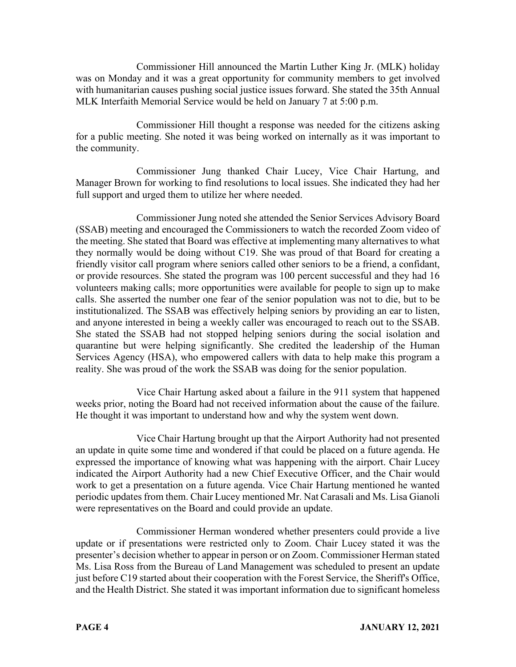Commissioner Hill announced the Martin Luther King Jr. (MLK) holiday was on Monday and it was a great opportunity for community members to get involved with humanitarian causes pushing social justice issues forward. She stated the 35th Annual MLK Interfaith Memorial Service would be held on January 7 at 5:00 p.m.

Commissioner Hill thought a response was needed for the citizens asking for a public meeting. She noted it was being worked on internally as it was important to the community.

Commissioner Jung thanked Chair Lucey, Vice Chair Hartung, and Manager Brown for working to find resolutions to local issues. She indicated they had her full support and urged them to utilize her where needed.

Commissioner Jung noted she attended the Senior Services Advisory Board (SSAB) meeting and encouraged the Commissioners to watch the recorded Zoom video of the meeting. She stated that Board was effective at implementing many alternatives to what they normally would be doing without C19. She was proud of that Board for creating a friendly visitor call program where seniors called other seniors to be a friend, a confidant, or provide resources. She stated the program was 100 percent successful and they had 16 volunteers making calls; more opportunities were available for people to sign up to make calls. She asserted the number one fear of the senior population was not to die, but to be institutionalized. The SSAB was effectively helping seniors by providing an ear to listen, and anyone interested in being a weekly caller was encouraged to reach out to the SSAB. She stated the SSAB had not stopped helping seniors during the social isolation and quarantine but were helping significantly. She credited the leadership of the Human Services Agency (HSA), who empowered callers with data to help make this program a reality. She was proud of the work the SSAB was doing for the senior population.

Vice Chair Hartung asked about a failure in the 911 system that happened weeks prior, noting the Board had not received information about the cause of the failure. He thought it was important to understand how and why the system went down.

Vice Chair Hartung brought up that the Airport Authority had not presented an update in quite some time and wondered if that could be placed on a future agenda. He expressed the importance of knowing what was happening with the airport. Chair Lucey indicated the Airport Authority had a new Chief Executive Officer, and the Chair would work to get a presentation on a future agenda. Vice Chair Hartung mentioned he wanted periodic updates from them. Chair Lucey mentioned Mr. Nat Carasali and Ms. Lisa Gianoli were representatives on the Board and could provide an update.

Commissioner Herman wondered whether presenters could provide a live update or if presentations were restricted only to Zoom. Chair Lucey stated it was the presenter's decision whether to appear in person or on Zoom. Commissioner Herman stated Ms. Lisa Ross from the Bureau of Land Management was scheduled to present an update just before C19 started about their cooperation with the Forest Service, the Sheriff's Office, and the Health District. She stated it was important information due to significant homeless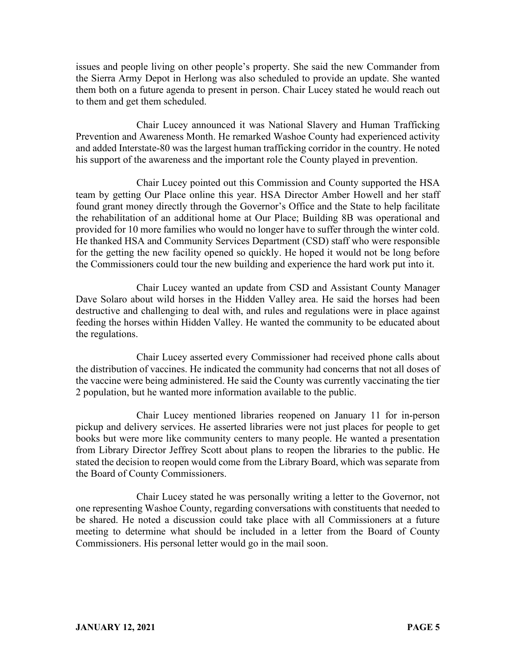issues and people living on other people's property. She said the new Commander from the Sierra Army Depot in Herlong was also scheduled to provide an update. She wanted them both on a future agenda to present in person. Chair Lucey stated he would reach out to them and get them scheduled.

Chair Lucey announced it was National Slavery and Human Trafficking Prevention and Awareness Month. He remarked Washoe County had experienced activity and added Interstate-80 was the largest human trafficking corridor in the country. He noted his support of the awareness and the important role the County played in prevention.

Chair Lucey pointed out this Commission and County supported the HSA team by getting Our Place online this year. HSA Director Amber Howell and her staff found grant money directly through the Governor's Office and the State to help facilitate the rehabilitation of an additional home at Our Place; Building 8B was operational and provided for 10 more families who would no longer have to suffer through the winter cold. He thanked HSA and Community Services Department (CSD) staff who were responsible for the getting the new facility opened so quickly. He hoped it would not be long before the Commissioners could tour the new building and experience the hard work put into it.

Chair Lucey wanted an update from CSD and Assistant County Manager Dave Solaro about wild horses in the Hidden Valley area. He said the horses had been destructive and challenging to deal with, and rules and regulations were in place against feeding the horses within Hidden Valley. He wanted the community to be educated about the regulations.

Chair Lucey asserted every Commissioner had received phone calls about the distribution of vaccines. He indicated the community had concerns that not all doses of the vaccine were being administered. He said the County was currently vaccinating the tier 2 population, but he wanted more information available to the public.

Chair Lucey mentioned libraries reopened on January 11 for in-person pickup and delivery services. He asserted libraries were not just places for people to get books but were more like community centers to many people. He wanted a presentation from Library Director Jeffrey Scott about plans to reopen the libraries to the public. He stated the decision to reopen would come from the Library Board, which was separate from the Board of County Commissioners.

Chair Lucey stated he was personally writing a letter to the Governor, not one representing Washoe County, regarding conversations with constituents that needed to be shared. He noted a discussion could take place with all Commissioners at a future meeting to determine what should be included in a letter from the Board of County Commissioners. His personal letter would go in the mail soon.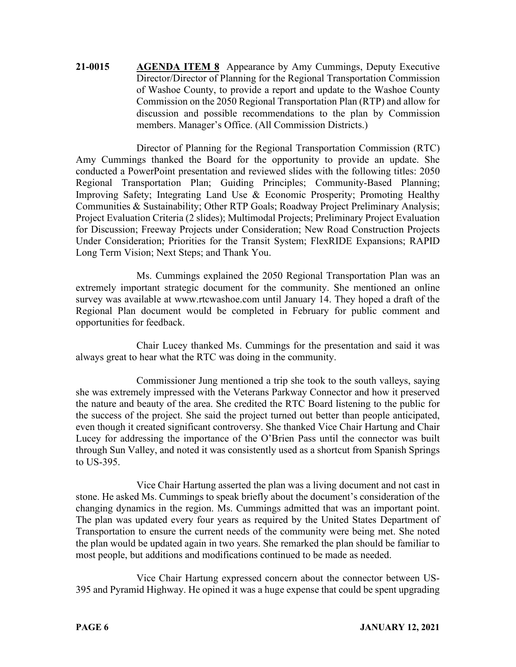**21-0015 AGENDA ITEM 8** Appearance by Amy Cummings, Deputy Executive Director/Director of Planning for the Regional Transportation Commission of Washoe County, to provide a report and update to the Washoe County Commission on the 2050 Regional Transportation Plan (RTP) and allow for discussion and possible recommendations to the plan by Commission members. Manager's Office. (All Commission Districts.)

Director of Planning for the Regional Transportation Commission (RTC) Amy Cummings thanked the Board for the opportunity to provide an update. She conducted a PowerPoint presentation and reviewed slides with the following titles: 2050 Regional Transportation Plan; Guiding Principles; Community-Based Planning; Improving Safety; Integrating Land Use & Economic Prosperity; Promoting Healthy Communities & Sustainability; Other RTP Goals; Roadway Project Preliminary Analysis; Project Evaluation Criteria (2 slides); Multimodal Projects; Preliminary Project Evaluation for Discussion; Freeway Projects under Consideration; New Road Construction Projects Under Consideration; Priorities for the Transit System; FlexRIDE Expansions; RAPID Long Term Vision; Next Steps; and Thank You.

Ms. Cummings explained the 2050 Regional Transportation Plan was an extremely important strategic document for the community. She mentioned an online survey was available at www.rtcwashoe.com until January 14. They hoped a draft of the Regional Plan document would be completed in February for public comment and opportunities for feedback.

Chair Lucey thanked Ms. Cummings for the presentation and said it was always great to hear what the RTC was doing in the community.

Commissioner Jung mentioned a trip she took to the south valleys, saying she was extremely impressed with the Veterans Parkway Connector and how it preserved the nature and beauty of the area. She credited the RTC Board listening to the public for the success of the project. She said the project turned out better than people anticipated, even though it created significant controversy. She thanked Vice Chair Hartung and Chair Lucey for addressing the importance of the O'Brien Pass until the connector was built through Sun Valley, and noted it was consistently used as a shortcut from Spanish Springs to US-395.

Vice Chair Hartung asserted the plan was a living document and not cast in stone. He asked Ms. Cummings to speak briefly about the document's consideration of the changing dynamics in the region. Ms. Cummings admitted that was an important point. The plan was updated every four years as required by the United States Department of Transportation to ensure the current needs of the community were being met. She noted the plan would be updated again in two years. She remarked the plan should be familiar to most people, but additions and modifications continued to be made as needed.

Vice Chair Hartung expressed concern about the connector between US-395 and Pyramid Highway. He opined it was a huge expense that could be spent upgrading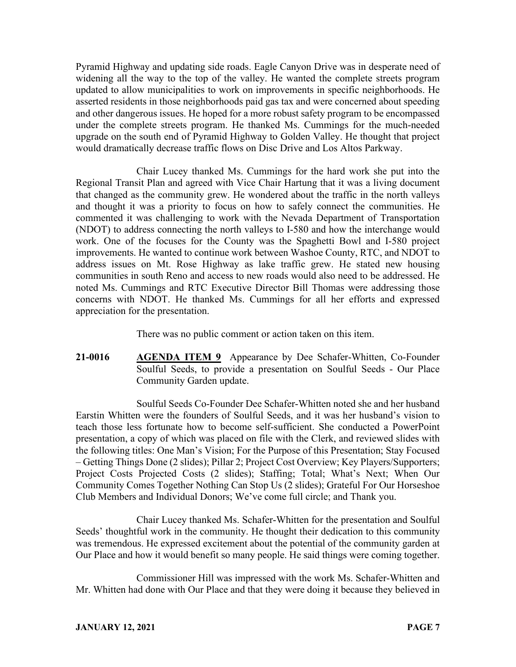Pyramid Highway and updating side roads. Eagle Canyon Drive was in desperate need of widening all the way to the top of the valley. He wanted the complete streets program updated to allow municipalities to work on improvements in specific neighborhoods. He asserted residents in those neighborhoods paid gas tax and were concerned about speeding and other dangerous issues. He hoped for a more robust safety program to be encompassed under the complete streets program. He thanked Ms. Cummings for the much-needed upgrade on the south end of Pyramid Highway to Golden Valley. He thought that project would dramatically decrease traffic flows on Disc Drive and Los Altos Parkway.

Chair Lucey thanked Ms. Cummings for the hard work she put into the Regional Transit Plan and agreed with Vice Chair Hartung that it was a living document that changed as the community grew. He wondered about the traffic in the north valleys and thought it was a priority to focus on how to safely connect the communities. He commented it was challenging to work with the Nevada Department of Transportation (NDOT) to address connecting the north valleys to I-580 and how the interchange would work. One of the focuses for the County was the Spaghetti Bowl and I-580 project improvements. He wanted to continue work between Washoe County, RTC, and NDOT to address issues on Mt. Rose Highway as lake traffic grew. He stated new housing communities in south Reno and access to new roads would also need to be addressed. He noted Ms. Cummings and RTC Executive Director Bill Thomas were addressing those concerns with NDOT. He thanked Ms. Cummings for all her efforts and expressed appreciation for the presentation.

There was no public comment or action taken on this item.

**21-0016 AGENDA ITEM 9** Appearance by Dee Schafer-Whitten, Co-Founder Soulful Seeds, to provide a presentation on Soulful Seeds - Our Place Community Garden update.

Soulful Seeds Co-Founder Dee Schafer-Whitten noted she and her husband Earstin Whitten were the founders of Soulful Seeds, and it was her husband's vision to teach those less fortunate how to become self-sufficient. She conducted a PowerPoint presentation, a copy of which was placed on file with the Clerk, and reviewed slides with the following titles: One Man's Vision; For the Purpose of this Presentation; Stay Focused – Getting Things Done (2 slides); Pillar 2; Project Cost Overview; Key Players/Supporters; Project Costs Projected Costs (2 slides); Staffing; Total; What's Next; When Our Community Comes Together Nothing Can Stop Us (2 slides); Grateful For Our Horseshoe Club Members and Individual Donors; We've come full circle; and Thank you.

Chair Lucey thanked Ms. Schafer-Whitten for the presentation and Soulful Seeds' thoughtful work in the community. He thought their dedication to this community was tremendous. He expressed excitement about the potential of the community garden at Our Place and how it would benefit so many people. He said things were coming together.

Commissioner Hill was impressed with the work Ms. Schafer-Whitten and Mr. Whitten had done with Our Place and that they were doing it because they believed in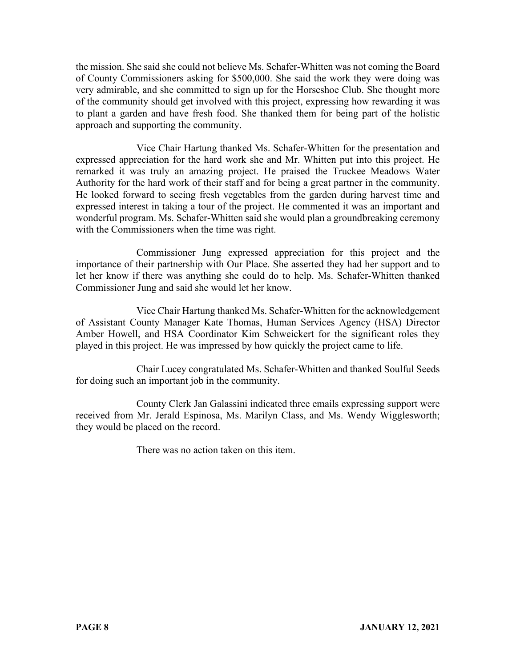the mission. She said she could not believe Ms. Schafer-Whitten was not coming the Board of County Commissioners asking for \$500,000. She said the work they were doing was very admirable, and she committed to sign up for the Horseshoe Club. She thought more of the community should get involved with this project, expressing how rewarding it was to plant a garden and have fresh food. She thanked them for being part of the holistic approach and supporting the community.

Vice Chair Hartung thanked Ms. Schafer-Whitten for the presentation and expressed appreciation for the hard work she and Mr. Whitten put into this project. He remarked it was truly an amazing project. He praised the Truckee Meadows Water Authority for the hard work of their staff and for being a great partner in the community. He looked forward to seeing fresh vegetables from the garden during harvest time and expressed interest in taking a tour of the project. He commented it was an important and wonderful program. Ms. Schafer-Whitten said she would plan a groundbreaking ceremony with the Commissioners when the time was right.

Commissioner Jung expressed appreciation for this project and the importance of their partnership with Our Place. She asserted they had her support and to let her know if there was anything she could do to help. Ms. Schafer-Whitten thanked Commissioner Jung and said she would let her know.

Vice Chair Hartung thanked Ms. Schafer-Whitten for the acknowledgement of Assistant County Manager Kate Thomas, Human Services Agency (HSA) Director Amber Howell, and HSA Coordinator Kim Schweickert for the significant roles they played in this project. He was impressed by how quickly the project came to life.

Chair Lucey congratulated Ms. Schafer-Whitten and thanked Soulful Seeds for doing such an important job in the community.

County Clerk Jan Galassini indicated three emails expressing support were received from Mr. Jerald Espinosa, Ms. Marilyn Class, and Ms. Wendy Wigglesworth; they would be placed on the record.

There was no action taken on this item.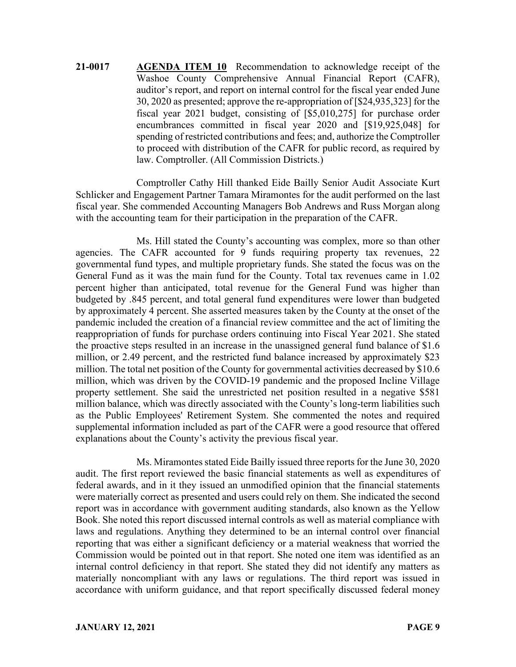**21-0017 AGENDA ITEM 10** Recommendation to acknowledge receipt of the Washoe County Comprehensive Annual Financial Report (CAFR), auditor's report, and report on internal control for the fiscal year ended June 30, 2020 as presented; approve the re-appropriation of [\$24,935,323] for the fiscal year 2021 budget, consisting of [\$5,010,275] for purchase order encumbrances committed in fiscal year 2020 and [\$19,925,048] for spending of restricted contributions and fees; and, authorize the Comptroller to proceed with distribution of the CAFR for public record, as required by law. Comptroller. (All Commission Districts.)

Comptroller Cathy Hill thanked Eide Bailly Senior Audit Associate Kurt Schlicker and Engagement Partner Tamara Miramontes for the audit performed on the last fiscal year. She commended Accounting Managers Bob Andrews and Russ Morgan along with the accounting team for their participation in the preparation of the CAFR.

Ms. Hill stated the County's accounting was complex, more so than other agencies. The CAFR accounted for 9 funds requiring property tax revenues, 22 governmental fund types, and multiple proprietary funds. She stated the focus was on the General Fund as it was the main fund for the County. Total tax revenues came in 1.02 percent higher than anticipated, total revenue for the General Fund was higher than budgeted by .845 percent, and total general fund expenditures were lower than budgeted by approximately 4 percent. She asserted measures taken by the County at the onset of the pandemic included the creation of a financial review committee and the act of limiting the reappropriation of funds for purchase orders continuing into Fiscal Year 2021. She stated the proactive steps resulted in an increase in the unassigned general fund balance of \$1.6 million, or 2.49 percent, and the restricted fund balance increased by approximately \$23 million. The total net position of the County for governmental activities decreased by \$10.6 million, which was driven by the COVID-19 pandemic and the proposed Incline Village property settlement. She said the unrestricted net position resulted in a negative \$581 million balance, which was directly associated with the County's long-term liabilities such as the Public Employees' Retirement System. She commented the notes and required supplemental information included as part of the CAFR were a good resource that offered explanations about the County's activity the previous fiscal year.

Ms. Miramontes stated Eide Bailly issued three reports for the June 30, 2020 audit. The first report reviewed the basic financial statements as well as expenditures of federal awards, and in it they issued an unmodified opinion that the financial statements were materially correct as presented and users could rely on them. She indicated the second report was in accordance with government auditing standards, also known as the Yellow Book. She noted this report discussed internal controls as well as material compliance with laws and regulations. Anything they determined to be an internal control over financial reporting that was either a significant deficiency or a material weakness that worried the Commission would be pointed out in that report. She noted one item was identified as an internal control deficiency in that report. She stated they did not identify any matters as materially noncompliant with any laws or regulations. The third report was issued in accordance with uniform guidance, and that report specifically discussed federal money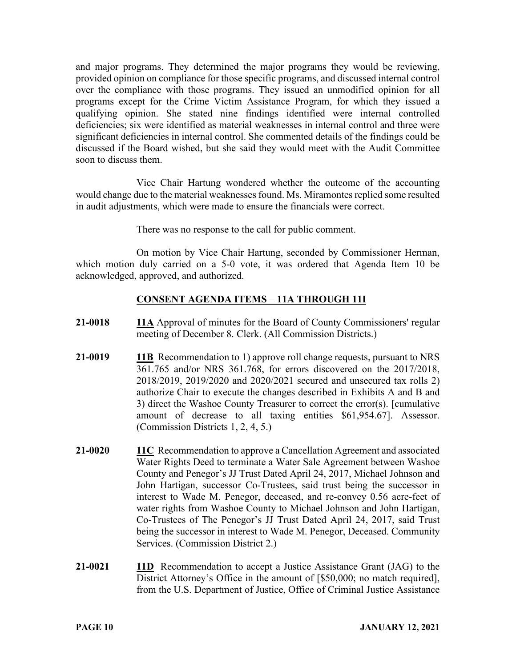and major programs. They determined the major programs they would be reviewing, provided opinion on compliance for those specific programs, and discussed internal control over the compliance with those programs. They issued an unmodified opinion for all programs except for the Crime Victim Assistance Program, for which they issued a qualifying opinion. She stated nine findings identified were internal controlled deficiencies; six were identified as material weaknesses in internal control and three were significant deficiencies in internal control. She commented details of the findings could be discussed if the Board wished, but she said they would meet with the Audit Committee soon to discuss them.

Vice Chair Hartung wondered whether the outcome of the accounting would change due to the material weaknesses found. Ms. Miramontes replied some resulted in audit adjustments, which were made to ensure the financials were correct.

There was no response to the call for public comment.

On motion by Vice Chair Hartung, seconded by Commissioner Herman, which motion duly carried on a 5-0 vote, it was ordered that Agenda Item 10 be acknowledged, approved, and authorized.

# **CONSENT AGENDA ITEMS** – **11A THROUGH 11I**

- **21-0018 11A** Approval of minutes for the Board of County Commissioners' regular meeting of December 8. Clerk. (All Commission Districts.)
- **21-0019 11B** Recommendation to 1) approve roll change requests, pursuant to NRS 361.765 and/or NRS 361.768, for errors discovered on the 2017/2018, 2018/2019, 2019/2020 and 2020/2021 secured and unsecured tax rolls 2) authorize Chair to execute the changes described in Exhibits A and B and 3) direct the Washoe County Treasurer to correct the error(s). [cumulative amount of decrease to all taxing entities \$61,954.67]. Assessor. (Commission Districts 1, 2, 4, 5.)
- **21-0020 11C** Recommendation to approve a Cancellation Agreement and associated Water Rights Deed to terminate a Water Sale Agreement between Washoe County and Penegor's JJ Trust Dated April 24, 2017, Michael Johnson and John Hartigan, successor Co-Trustees, said trust being the successor in interest to Wade M. Penegor, deceased, and re-convey 0.56 acre-feet of water rights from Washoe County to Michael Johnson and John Hartigan, Co-Trustees of The Penegor's JJ Trust Dated April 24, 2017, said Trust being the successor in interest to Wade M. Penegor, Deceased. Community Services. (Commission District 2.)
- **21-0021 11D** Recommendation to accept a Justice Assistance Grant (JAG) to the District Attorney's Office in the amount of [\$50,000; no match required], from the U.S. Department of Justice, Office of Criminal Justice Assistance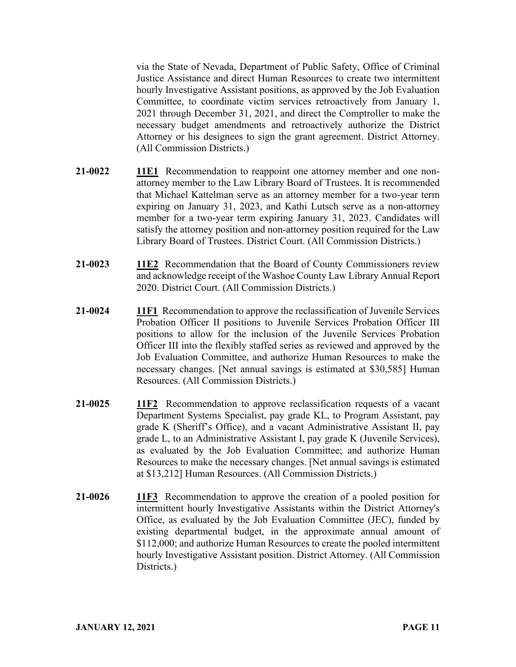via the State of Nevada, Department of Public Safety, Office of Criminal Justice Assistance and direct Human Resources to create two intermittent hourly Investigative Assistant positions, as approved by the Job Evaluation Committee, to coordinate victim services retroactively from January 1, 2021 through December 31, 2021, and direct the Comptroller to make the necessary budget amendments and retroactively authorize the District Attorney or his designees to sign the grant agreement. District Attorney. (All Commission Districts.)

- **21-0022 11E1** Recommendation to reappoint one attorney member and one nonattorney member to the Law Library Board of Trustees. It is recommended that Michael Kattelman serve as an attorney member for a two-year term expiring on January 31, 2023, and Kathi Lutsch serve as a non-attorney member for a two-year term expiring January 31, 2023. Candidates will satisfy the attorney position and non-attorney position required for the Law Library Board of Trustees. District Court. (All Commission Districts.)
- **21-0023 11E2** Recommendation that the Board of County Commissioners review and acknowledge receipt of the Washoe County Law Library Annual Report 2020. District Court. (All Commission Districts.)
- **21-0024 11F1** Recommendation to approve the reclassification of Juvenile Services Probation Officer II positions to Juvenile Services Probation Officer III positions to allow for the inclusion of the Juvenile Services Probation Officer III into the flexibly staffed series as reviewed and approved by the Job Evaluation Committee, and authorize Human Resources to make the necessary changes. [Net annual savings is estimated at \$30,585] Human Resources. (All Commission Districts.)
- **21-0025 11F2** Recommendation to approve reclassification requests of a vacant Department Systems Specialist, pay grade KL, to Program Assistant, pay grade K (Sheriff's Office), and a vacant Administrative Assistant II, pay grade L, to an Administrative Assistant I, pay grade K (Juvenile Services), as evaluated by the Job Evaluation Committee; and authorize Human Resources to make the necessary changes. [Net annual savings is estimated at \$13,212] Human Resources. (All Commission Districts.)
- **21-0026 11F3** Recommendation to approve the creation of a pooled position for intermittent hourly Investigative Assistants within the District Attorney's Office, as evaluated by the Job Evaluation Committee (JEC), funded by existing departmental budget, in the approximate annual amount of \$112,000; and authorize Human Resources to create the pooled intermittent hourly Investigative Assistant position. District Attorney. (All Commission Districts.)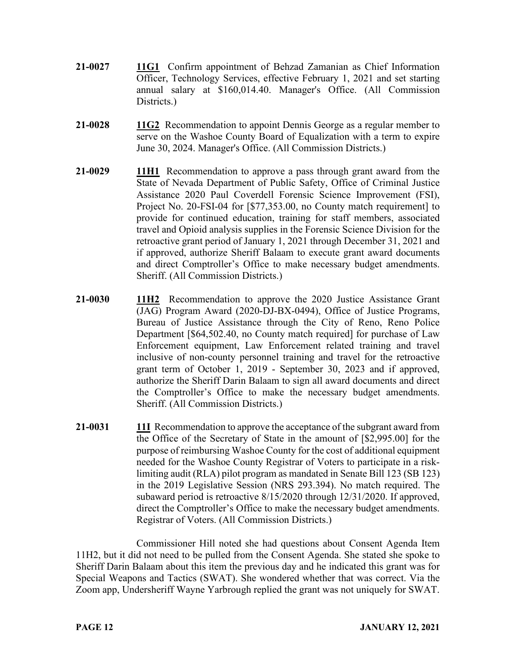- **21-0027 11G1** Confirm appointment of Behzad Zamanian as Chief Information Officer, Technology Services, effective February 1, 2021 and set starting annual salary at \$160,014.40. Manager's Office. (All Commission Districts.)
- **21-0028 11G2** Recommendation to appoint Dennis George as a regular member to serve on the Washoe County Board of Equalization with a term to expire June 30, 2024. Manager's Office. (All Commission Districts.)
- **21-0029 11H1** Recommendation to approve a pass through grant award from the State of Nevada Department of Public Safety, Office of Criminal Justice Assistance 2020 Paul Coverdell Forensic Science Improvement (FSI), Project No. 20-FSI-04 for [\$77,353.00, no County match requirement] to provide for continued education, training for staff members, associated travel and Opioid analysis supplies in the Forensic Science Division for the retroactive grant period of January 1, 2021 through December 31, 2021 and if approved, authorize Sheriff Balaam to execute grant award documents and direct Comptroller's Office to make necessary budget amendments. Sheriff. (All Commission Districts.)
- **21-0030 11H2** Recommendation to approve the 2020 Justice Assistance Grant (JAG) Program Award (2020-DJ-BX-0494), Office of Justice Programs, Bureau of Justice Assistance through the City of Reno, Reno Police Department [\$64,502.40, no County match required] for purchase of Law Enforcement equipment, Law Enforcement related training and travel inclusive of non-county personnel training and travel for the retroactive grant term of October 1, 2019 - September 30, 2023 and if approved, authorize the Sheriff Darin Balaam to sign all award documents and direct the Comptroller's Office to make the necessary budget amendments. Sheriff. (All Commission Districts.)
- **21-0031 11I** Recommendation to approve the acceptance of the subgrant award from the Office of the Secretary of State in the amount of [\$2,995.00] for the purpose of reimbursing Washoe County for the cost of additional equipment needed for the Washoe County Registrar of Voters to participate in a risklimiting audit (RLA) pilot program as mandated in Senate Bill 123 (SB 123) in the 2019 Legislative Session (NRS 293.394). No match required. The subaward period is retroactive 8/15/2020 through 12/31/2020. If approved, direct the Comptroller's Office to make the necessary budget amendments. Registrar of Voters. (All Commission Districts.)

Commissioner Hill noted she had questions about Consent Agenda Item 11H2, but it did not need to be pulled from the Consent Agenda. She stated she spoke to Sheriff Darin Balaam about this item the previous day and he indicated this grant was for Special Weapons and Tactics (SWAT). She wondered whether that was correct. Via the Zoom app, Undersheriff Wayne Yarbrough replied the grant was not uniquely for SWAT.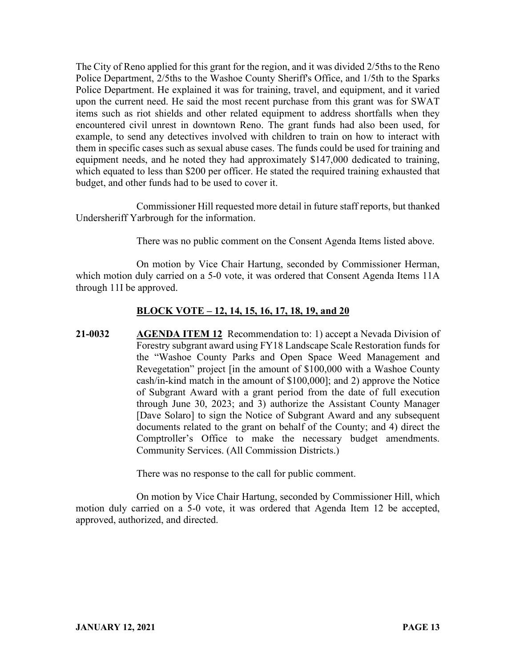The City of Reno applied for this grant for the region, and it was divided 2/5ths to the Reno Police Department, 2/5ths to the Washoe County Sheriff's Office, and 1/5th to the Sparks Police Department. He explained it was for training, travel, and equipment, and it varied upon the current need. He said the most recent purchase from this grant was for SWAT items such as riot shields and other related equipment to address shortfalls when they encountered civil unrest in downtown Reno. The grant funds had also been used, for example, to send any detectives involved with children to train on how to interact with them in specific cases such as sexual abuse cases. The funds could be used for training and equipment needs, and he noted they had approximately \$147,000 dedicated to training, which equated to less than \$200 per officer. He stated the required training exhausted that budget, and other funds had to be used to cover it.

Commissioner Hill requested more detail in future staff reports, but thanked Undersheriff Yarbrough for the information.

There was no public comment on the Consent Agenda Items listed above.

On motion by Vice Chair Hartung, seconded by Commissioner Herman, which motion duly carried on a 5-0 vote, it was ordered that Consent Agenda Items 11A through 11I be approved.

# **BLOCK VOTE – 12, 14, 15, 16, 17, 18, 19, and 20**

**21-0032 AGENDA ITEM 12** Recommendation to: 1) accept a Nevada Division of Forestry subgrant award using FY18 Landscape Scale Restoration funds for the "Washoe County Parks and Open Space Weed Management and Revegetation" project [in the amount of \$100,000 with a Washoe County cash/in-kind match in the amount of \$100,000]; and 2) approve the Notice of Subgrant Award with a grant period from the date of full execution through June 30, 2023; and 3) authorize the Assistant County Manager [Dave Solaro] to sign the Notice of Subgrant Award and any subsequent documents related to the grant on behalf of the County; and 4) direct the Comptroller's Office to make the necessary budget amendments. Community Services. (All Commission Districts.)

There was no response to the call for public comment.

On motion by Vice Chair Hartung, seconded by Commissioner Hill, which motion duly carried on a 5-0 vote, it was ordered that Agenda Item 12 be accepted, approved, authorized, and directed.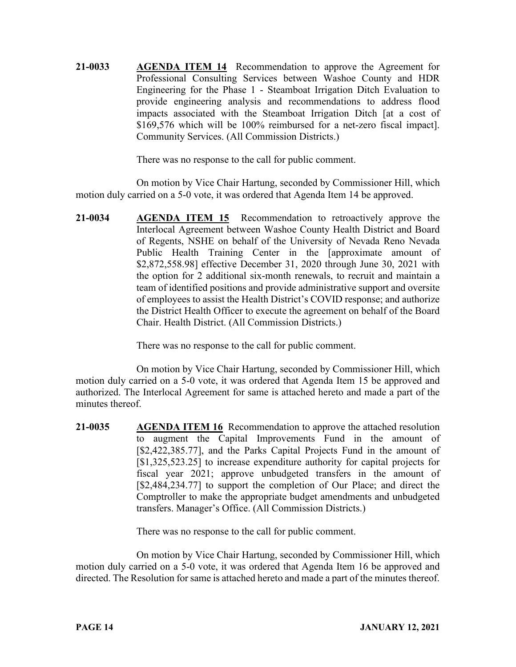**21-0033 AGENDA ITEM 14** Recommendation to approve the Agreement for Professional Consulting Services between Washoe County and HDR Engineering for the Phase 1 - Steamboat Irrigation Ditch Evaluation to provide engineering analysis and recommendations to address flood impacts associated with the Steamboat Irrigation Ditch [at a cost of \$169,576 which will be 100% reimbursed for a net-zero fiscal impact]. Community Services. (All Commission Districts.)

There was no response to the call for public comment.

On motion by Vice Chair Hartung, seconded by Commissioner Hill, which motion duly carried on a 5-0 vote, it was ordered that Agenda Item 14 be approved.

**21-0034 AGENDA ITEM 15** Recommendation to retroactively approve the Interlocal Agreement between Washoe County Health District and Board of Regents, NSHE on behalf of the University of Nevada Reno Nevada Public Health Training Center in the [approximate amount of \$2,872,558.98] effective December 31, 2020 through June 30, 2021 with the option for 2 additional six-month renewals, to recruit and maintain a team of identified positions and provide administrative support and oversite of employees to assist the Health District's COVID response; and authorize the District Health Officer to execute the agreement on behalf of the Board Chair. Health District. (All Commission Districts.)

There was no response to the call for public comment.

On motion by Vice Chair Hartung, seconded by Commissioner Hill, which motion duly carried on a 5-0 vote, it was ordered that Agenda Item 15 be approved and authorized. The Interlocal Agreement for same is attached hereto and made a part of the minutes thereof.

**21-0035 AGENDA ITEM 16** Recommendation to approve the attached resolution to augment the Capital Improvements Fund in the amount of [\$2,422,385.77], and the Parks Capital Projects Fund in the amount of [\$1,325,523.25] to increase expenditure authority for capital projects for fiscal year 2021; approve unbudgeted transfers in the amount of [\$2,484,234.77] to support the completion of Our Place; and direct the Comptroller to make the appropriate budget amendments and unbudgeted transfers. Manager's Office. (All Commission Districts.)

There was no response to the call for public comment.

On motion by Vice Chair Hartung, seconded by Commissioner Hill, which motion duly carried on a 5-0 vote, it was ordered that Agenda Item 16 be approved and directed. The Resolution for same is attached hereto and made a part of the minutes thereof.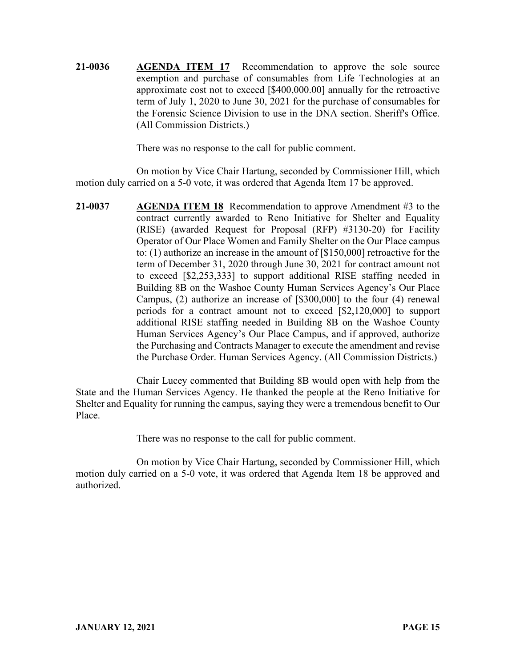**21-0036 AGENDA ITEM 17** Recommendation to approve the sole source exemption and purchase of consumables from Life Technologies at an approximate cost not to exceed [\$400,000.00] annually for the retroactive term of July 1, 2020 to June 30, 2021 for the purchase of consumables for the Forensic Science Division to use in the DNA section. Sheriff's Office. (All Commission Districts.)

There was no response to the call for public comment.

On motion by Vice Chair Hartung, seconded by Commissioner Hill, which motion duly carried on a 5-0 vote, it was ordered that Agenda Item 17 be approved.

**21-0037 AGENDA ITEM 18** Recommendation to approve Amendment #3 to the contract currently awarded to Reno Initiative for Shelter and Equality (RISE) (awarded Request for Proposal (RFP) #3130-20) for Facility Operator of Our Place Women and Family Shelter on the Our Place campus to: (1) authorize an increase in the amount of [\$150,000] retroactive for the term of December 31, 2020 through June 30, 2021 for contract amount not to exceed [\$2,253,333] to support additional RISE staffing needed in Building 8B on the Washoe County Human Services Agency's Our Place Campus, (2) authorize an increase of [\$300,000] to the four (4) renewal periods for a contract amount not to exceed [\$2,120,000] to support additional RISE staffing needed in Building 8B on the Washoe County Human Services Agency's Our Place Campus, and if approved, authorize the Purchasing and Contracts Manager to execute the amendment and revise the Purchase Order. Human Services Agency. (All Commission Districts.)

Chair Lucey commented that Building 8B would open with help from the State and the Human Services Agency. He thanked the people at the Reno Initiative for Shelter and Equality for running the campus, saying they were a tremendous benefit to Our Place.

There was no response to the call for public comment.

On motion by Vice Chair Hartung, seconded by Commissioner Hill, which motion duly carried on a 5-0 vote, it was ordered that Agenda Item 18 be approved and authorized.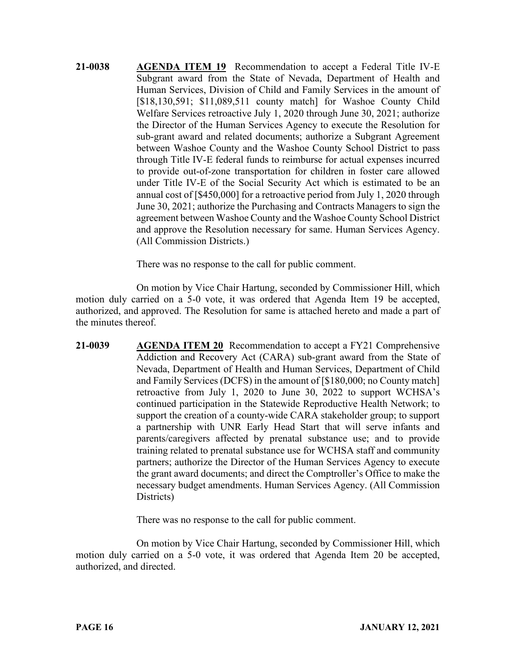**21-0038 AGENDA ITEM 19** Recommendation to accept a Federal Title IV-E Subgrant award from the State of Nevada, Department of Health and Human Services, Division of Child and Family Services in the amount of [\$18,130,591; \$11,089,511 county match] for Washoe County Child Welfare Services retroactive July 1, 2020 through June 30, 2021; authorize the Director of the Human Services Agency to execute the Resolution for sub-grant award and related documents; authorize a Subgrant Agreement between Washoe County and the Washoe County School District to pass through Title IV-E federal funds to reimburse for actual expenses incurred to provide out-of-zone transportation for children in foster care allowed under Title IV-E of the Social Security Act which is estimated to be an annual cost of [\$450,000] for a retroactive period from July 1, 2020 through June 30, 2021; authorize the Purchasing and Contracts Managers to sign the agreement between Washoe County and the Washoe County School District and approve the Resolution necessary for same. Human Services Agency. (All Commission Districts.)

There was no response to the call for public comment.

On motion by Vice Chair Hartung, seconded by Commissioner Hill, which motion duly carried on a 5-0 vote, it was ordered that Agenda Item 19 be accepted, authorized, and approved. The Resolution for same is attached hereto and made a part of the minutes thereof.

**21-0039 AGENDA ITEM 20** Recommendation to accept a FY21 Comprehensive Addiction and Recovery Act (CARA) sub-grant award from the State of Nevada, Department of Health and Human Services, Department of Child and Family Services (DCFS) in the amount of [\$180,000; no County match] retroactive from July 1, 2020 to June 30, 2022 to support WCHSA's continued participation in the Statewide Reproductive Health Network; to support the creation of a county-wide CARA stakeholder group; to support a partnership with UNR Early Head Start that will serve infants and parents/caregivers affected by prenatal substance use; and to provide training related to prenatal substance use for WCHSA staff and community partners; authorize the Director of the Human Services Agency to execute the grant award documents; and direct the Comptroller's Office to make the necessary budget amendments. Human Services Agency. (All Commission Districts)

There was no response to the call for public comment.

On motion by Vice Chair Hartung, seconded by Commissioner Hill, which motion duly carried on a 5-0 vote, it was ordered that Agenda Item 20 be accepted, authorized, and directed.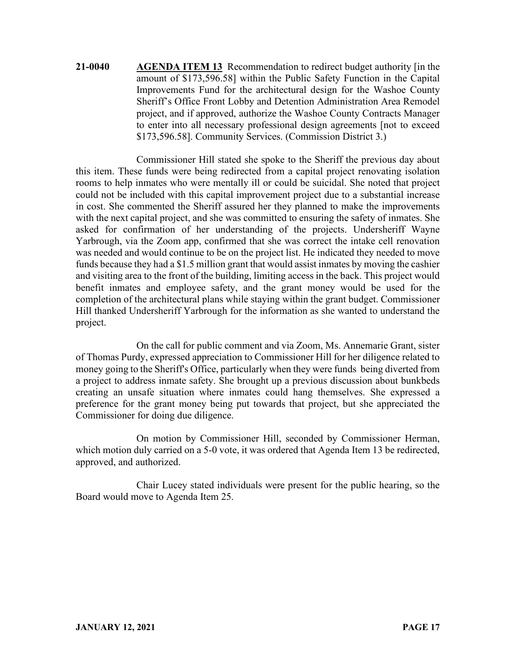**21-0040 AGENDA ITEM 13** Recommendation to redirect budget authority [in the amount of \$173,596.58] within the Public Safety Function in the Capital Improvements Fund for the architectural design for the Washoe County Sheriff's Office Front Lobby and Detention Administration Area Remodel project, and if approved, authorize the Washoe County Contracts Manager to enter into all necessary professional design agreements [not to exceed \$173,596.58]. Community Services. (Commission District 3.)

Commissioner Hill stated she spoke to the Sheriff the previous day about this item. These funds were being redirected from a capital project renovating isolation rooms to help inmates who were mentally ill or could be suicidal. She noted that project could not be included with this capital improvement project due to a substantial increase in cost. She commented the Sheriff assured her they planned to make the improvements with the next capital project, and she was committed to ensuring the safety of inmates. She asked for confirmation of her understanding of the projects. Undersheriff Wayne Yarbrough, via the Zoom app, confirmed that she was correct the intake cell renovation was needed and would continue to be on the project list. He indicated they needed to move funds because they had a \$1.5 million grant that would assist inmates by moving the cashier and visiting area to the front of the building, limiting access in the back. This project would benefit inmates and employee safety, and the grant money would be used for the completion of the architectural plans while staying within the grant budget. Commissioner Hill thanked Undersheriff Yarbrough for the information as she wanted to understand the project.

On the call for public comment and via Zoom, Ms. Annemarie Grant, sister of Thomas Purdy, expressed appreciation to Commissioner Hill for her diligence related to money going to the Sheriff's Office, particularly when they were funds being diverted from a project to address inmate safety. She brought up a previous discussion about bunkbeds creating an unsafe situation where inmates could hang themselves. She expressed a preference for the grant money being put towards that project, but she appreciated the Commissioner for doing due diligence.

On motion by Commissioner Hill, seconded by Commissioner Herman, which motion duly carried on a 5-0 vote, it was ordered that Agenda Item 13 be redirected, approved, and authorized.

Chair Lucey stated individuals were present for the public hearing, so the Board would move to Agenda Item 25.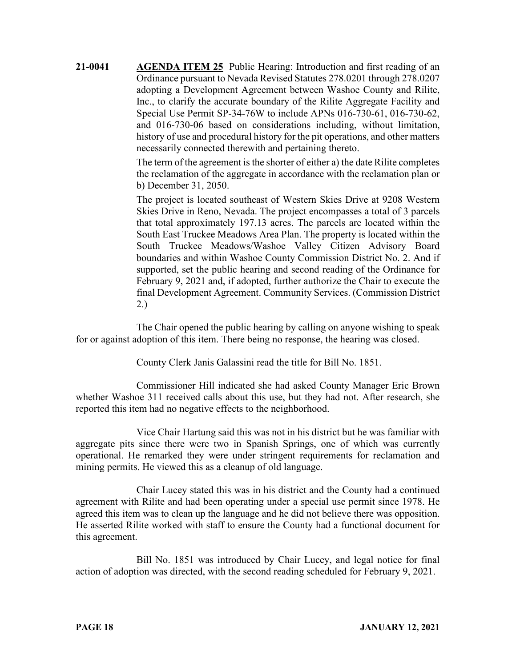**21-0041 AGENDA ITEM 25** Public Hearing: Introduction and first reading of an Ordinance pursuant to Nevada Revised Statutes 278.0201 through 278.0207 adopting a Development Agreement between Washoe County and Rilite, Inc., to clarify the accurate boundary of the Rilite Aggregate Facility and Special Use Permit SP-34-76W to include APNs 016-730-61, 016-730-62, and 016-730-06 based on considerations including, without limitation, history of use and procedural history for the pit operations, and other matters necessarily connected therewith and pertaining thereto.

> The term of the agreement is the shorter of either a) the date Rilite completes the reclamation of the aggregate in accordance with the reclamation plan or b) December 31, 2050.

> The project is located southeast of Western Skies Drive at 9208 Western Skies Drive in Reno, Nevada. The project encompasses a total of 3 parcels that total approximately 197.13 acres. The parcels are located within the South East Truckee Meadows Area Plan. The property is located within the South Truckee Meadows/Washoe Valley Citizen Advisory Board boundaries and within Washoe County Commission District No. 2. And if supported, set the public hearing and second reading of the Ordinance for February 9, 2021 and, if adopted, further authorize the Chair to execute the final Development Agreement. Community Services. (Commission District 2.)

The Chair opened the public hearing by calling on anyone wishing to speak for or against adoption of this item. There being no response, the hearing was closed.

County Clerk Janis Galassini read the title for Bill No. 1851.

Commissioner Hill indicated she had asked County Manager Eric Brown whether Washoe 311 received calls about this use, but they had not. After research, she reported this item had no negative effects to the neighborhood.

Vice Chair Hartung said this was not in his district but he was familiar with aggregate pits since there were two in Spanish Springs, one of which was currently operational. He remarked they were under stringent requirements for reclamation and mining permits. He viewed this as a cleanup of old language.

Chair Lucey stated this was in his district and the County had a continued agreement with Rilite and had been operating under a special use permit since 1978. He agreed this item was to clean up the language and he did not believe there was opposition. He asserted Rilite worked with staff to ensure the County had a functional document for this agreement.

Bill No. 1851 was introduced by Chair Lucey, and legal notice for final action of adoption was directed, with the second reading scheduled for February 9, 2021.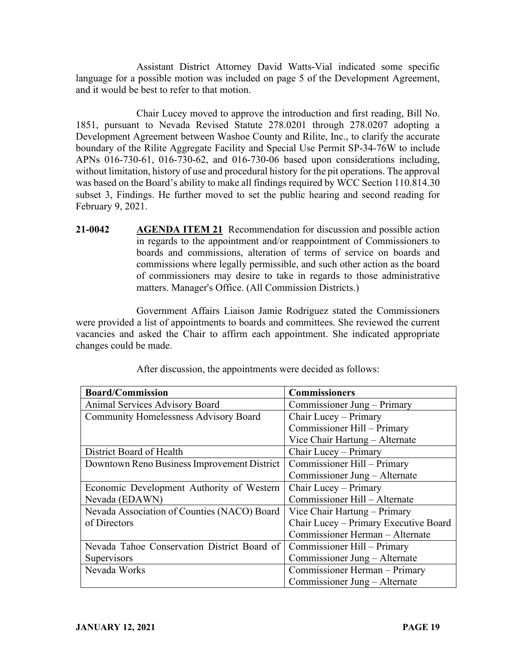Assistant District Attorney David Watts-Vial indicated some specific language for a possible motion was included on page 5 of the Development Agreement, and it would be best to refer to that motion.

Chair Lucey moved to approve the introduction and first reading, Bill No. 1851, pursuant to Nevada Revised Statute 278.0201 through 278.0207 adopting a Development Agreement between Washoe County and Rilite, Inc., to clarify the accurate boundary of the Rilite Aggregate Facility and Special Use Permit SP-34-76W to include APNs 016-730-61, 016-730-62, and 016-730-06 based upon considerations including, without limitation, history of use and procedural history for the pit operations. The approval was based on the Board's ability to make all findings required by WCC Section 110.814.30 subset 3, Findings. He further moved to set the public hearing and second reading for February 9, 2021.

**21-0042 AGENDA ITEM 21** Recommendation for discussion and possible action in regards to the appointment and/or reappointment of Commissioners to boards and commissions, alteration of terms of service on boards and commissions where legally permissible, and such other action as the board of commissioners may desire to take in regards to those administrative matters. Manager's Office. (All Commission Districts.)

Government Affairs Liaison Jamie Rodriguez stated the Commissioners were provided a list of appointments to boards and committees. She reviewed the current vacancies and asked the Chair to affirm each appointment. She indicated appropriate changes could be made.

| <b>Board/Commission</b>                      | <b>Commissioners</b>                  |
|----------------------------------------------|---------------------------------------|
| Animal Services Advisory Board               | Commissioner Jung - Primary           |
| <b>Community Homelessness Advisory Board</b> | Chair Lucey - Primary                 |
|                                              | Commissioner Hill - Primary           |
|                                              | Vice Chair Hartung - Alternate        |
| District Board of Health                     | Chair Lucey - Primary                 |
| Downtown Reno Business Improvement District  | Commissioner Hill - Primary           |
|                                              | Commissioner Jung – Alternate         |
| Economic Development Authority of Western    | Chair Lucey - Primary                 |
| Nevada (EDAWN)                               | Commissioner Hill - Alternate         |
| Nevada Association of Counties (NACO) Board  | Vice Chair Hartung – Primary          |
| of Directors                                 | Chair Lucey - Primary Executive Board |
|                                              | Commissioner Herman - Alternate       |
| Nevada Tahoe Conservation District Board of  | Commissioner Hill – Primary           |
| Supervisors                                  | Commissioner Jung - Alternate         |
| Nevada Works                                 | Commissioner Herman - Primary         |
|                                              | Commissioner Jung - Alternate         |

After discussion, the appointments were decided as follows: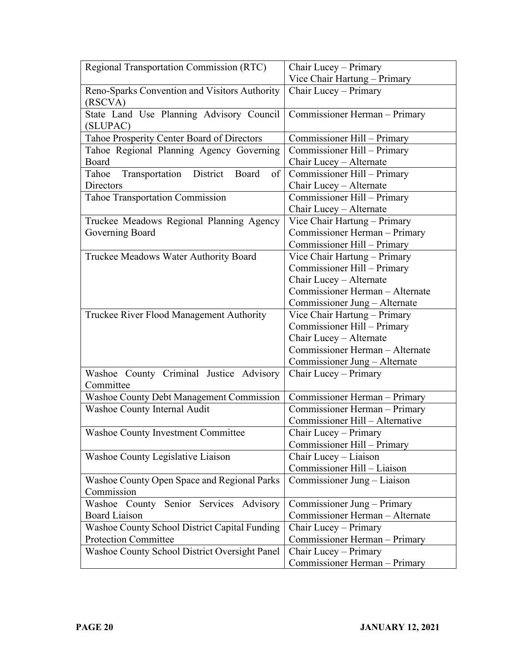| Regional Transportation Commission (RTC)                        | Chair Lucey - Primary           |
|-----------------------------------------------------------------|---------------------------------|
|                                                                 | Vice Chair Hartung - Primary    |
| Reno-Sparks Convention and Visitors Authority<br>(RSCVA)        | Chair Lucey - Primary           |
| State Land Use Planning Advisory Council<br>(SLUPAC)            | Commissioner Herman - Primary   |
| Tahoe Prosperity Center Board of Directors                      | Commissioner Hill – Primary     |
| Tahoe Regional Planning Agency Governing                        | Commissioner Hill - Primary     |
| Board                                                           | Chair Lucey - Alternate         |
| Transportation<br>District<br>Tahoe<br>of <sub>l</sub><br>Board | Commissioner Hill - Primary     |
| Directors                                                       | Chair Lucey - Alternate         |
| Tahoe Transportation Commission                                 | Commissioner Hill - Primary     |
|                                                                 | Chair Lucey - Alternate         |
| Truckee Meadows Regional Planning Agency                        | Vice Chair Hartung - Primary    |
| Governing Board                                                 | Commissioner Herman - Primary   |
|                                                                 | Commissioner Hill - Primary     |
| Truckee Meadows Water Authority Board                           | Vice Chair Hartung - Primary    |
|                                                                 | Commissioner Hill - Primary     |
|                                                                 | Chair Lucey - Alternate         |
|                                                                 | Commissioner Herman - Alternate |
|                                                                 | Commissioner Jung – Alternate   |
| Truckee River Flood Management Authority                        | Vice Chair Hartung - Primary    |
|                                                                 | Commissioner Hill - Primary     |
|                                                                 | Chair Lucey - Alternate         |
|                                                                 | Commissioner Herman - Alternate |
|                                                                 | Commissioner Jung - Alternate   |
| Washoe County Criminal Justice Advisory                         | Chair Lucey - Primary           |
| Committee                                                       |                                 |
| Washoe County Debt Management Commission                        | Commissioner Herman - Primary   |
| Washoe County Internal Audit                                    | Commissioner Herman - Primary   |
|                                                                 | Commissioner Hill - Alternative |
| <b>Washoe County Investment Committee</b>                       | Chair Lucey - Primary           |
|                                                                 | Commissioner Hill - Primary     |
| Washoe County Legislative Liaison                               | Chair Lucey - Liaison           |
|                                                                 | Commissioner Hill - Liaison     |
| Washoe County Open Space and Regional Parks                     | Commissioner Jung - Liaison     |
| Commission                                                      |                                 |
| Senior Services Advisory<br>Washoe County                       | Commissioner Jung – Primary     |
| <b>Board Liaison</b>                                            | Commissioner Herman - Alternate |
| <b>Washoe County School District Capital Funding</b>            | Chair Lucey - Primary           |
| <b>Protection Committee</b>                                     | Commissioner Herman - Primary   |
| <b>Washoe County School District Oversight Panel</b>            | Chair Lucey – Primary           |
|                                                                 | Commissioner Herman - Primary   |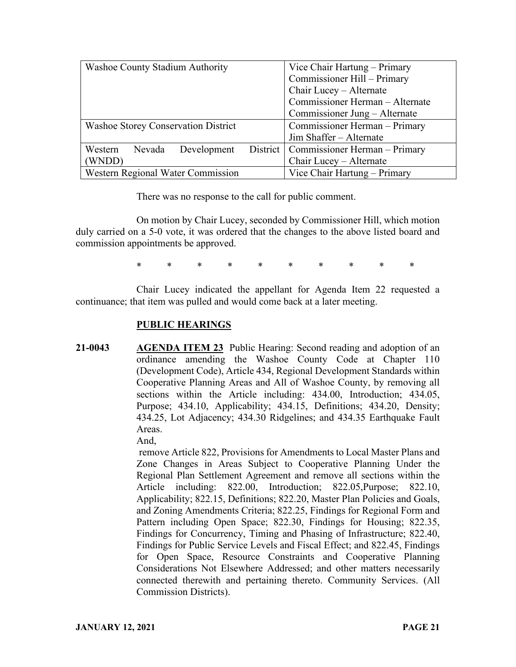| Washoe County Stadium Authority            | Vice Chair Hartung – Primary             |
|--------------------------------------------|------------------------------------------|
|                                            | Commissioner Hill - Primary              |
|                                            | Chair Lucey - Alternate                  |
|                                            | Commissioner Herman - Alternate          |
|                                            | Commissioner Jung - Alternate            |
| <b>Washoe Storey Conservation District</b> | Commissioner Herman - Primary            |
|                                            | Jim Shaffer - Alternate                  |
| Development<br>Western<br>Nevada           | District   Commissioner Herman - Primary |
| (WNDD)                                     | Chair Lucey - Alternate                  |
| Western Regional Water Commission          | Vice Chair Hartung - Primary             |

There was no response to the call for public comment.

On motion by Chair Lucey, seconded by Commissioner Hill, which motion duly carried on a 5-0 vote, it was ordered that the changes to the above listed board and commission appointments be approved.

\* \* \* \* \* \* \* \* \* \*

Chair Lucey indicated the appellant for Agenda Item 22 requested a continuance; that item was pulled and would come back at a later meeting.

## **PUBLIC HEARINGS**

**21-0043 AGENDA ITEM 23** Public Hearing: Second reading and adoption of an ordinance amending the Washoe County Code at Chapter 110 (Development Code), Article 434, Regional Development Standards within Cooperative Planning Areas and All of Washoe County, by removing all sections within the Article including: 434.00, Introduction; 434.05, Purpose; 434.10, Applicability; 434.15, Definitions; 434.20, Density; 434.25, Lot Adjacency; 434.30 Ridgelines; and 434.35 Earthquake Fault Areas. And,

> remove Article 822, Provisions for Amendments to Local Master Plans and Zone Changes in Areas Subject to Cooperative Planning Under the Regional Plan Settlement Agreement and remove all sections within the Article including: 822.00, Introduction; 822.05, Purpose; 822.10, Applicability; 822.15, Definitions; 822.20, Master Plan Policies and Goals, and Zoning Amendments Criteria; 822.25, Findings for Regional Form and Pattern including Open Space; 822.30, Findings for Housing; 822.35, Findings for Concurrency, Timing and Phasing of Infrastructure; 822.40, Findings for Public Service Levels and Fiscal Effect; and 822.45, Findings for Open Space, Resource Constraints and Cooperative Planning Considerations Not Elsewhere Addressed; and other matters necessarily connected therewith and pertaining thereto. Community Services. (All Commission Districts).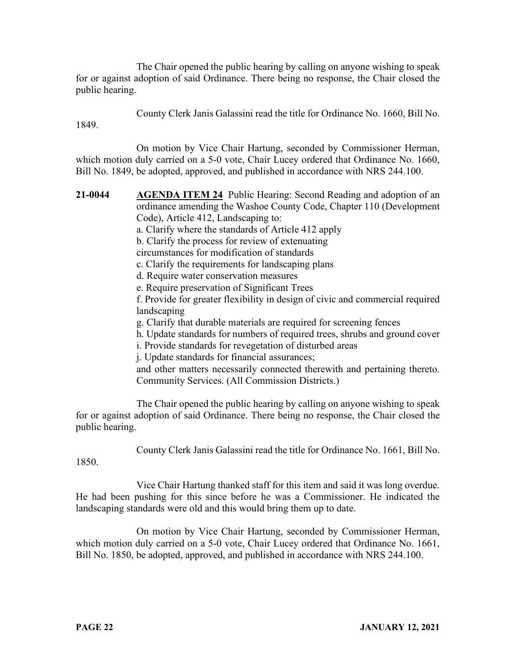The Chair opened the public hearing by calling on anyone wishing to speak for or against adoption of said Ordinance. There being no response, the Chair closed the public hearing.

County Clerk Janis Galassini read the title for Ordinance No. 1660, Bill No.

1849.

On motion by Vice Chair Hartung, seconded by Commissioner Herman, which motion duly carried on a 5-0 vote, Chair Lucey ordered that Ordinance No. 1660, Bill No. 1849, be adopted, approved, and published in accordance with NRS 244.100.

**21-0044 AGENDA ITEM 24** Public Hearing: Second Reading and adoption of an ordinance amending the Washoe County Code, Chapter 110 (Development Code), Article 412, Landscaping to: a. Clarify where the standards of Article 412 apply b. Clarify the process for review of extenuating circumstances for modification of standards c. Clarify the requirements for landscaping plans d. Require water conservation measures e. Require preservation of Significant Trees f. Provide for greater flexibility in design of civic and commercial required landscaping g. Clarify that durable materials are required for screening fences h. Update standards for numbers of required trees, shrubs and ground cover i. Provide standards for revegetation of disturbed areas j. Update standards for financial assurances; and other matters necessarily connected therewith and pertaining thereto. Community Services. (All Commission Districts.)

The Chair opened the public hearing by calling on anyone wishing to speak for or against adoption of said Ordinance. There being no response, the Chair closed the public hearing.

County Clerk Janis Galassini read the title for Ordinance No. 1661, Bill No.

1850.

Vice Chair Hartung thanked staff for this item and said it was long overdue. He had been pushing for this since before he was a Commissioner. He indicated the landscaping standards were old and this would bring them up to date.

On motion by Vice Chair Hartung, seconded by Commissioner Herman, which motion duly carried on a 5-0 vote, Chair Lucey ordered that Ordinance No. 1661, Bill No. 1850, be adopted, approved, and published in accordance with NRS 244.100.